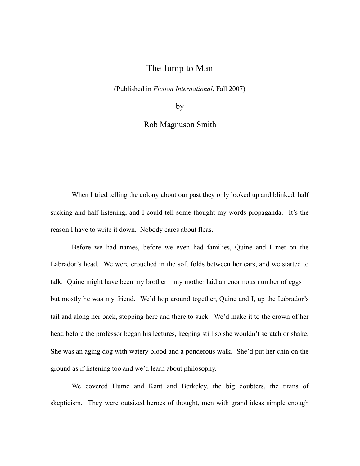## The Jump to Man

(Published in *Fiction International*, Fall 2007)

by

Rob Magnuson Smith

When I tried telling the colony about our past they only looked up and blinked, half sucking and half listening, and I could tell some thought my words propaganda. It's the reason I have to write it down. Nobody cares about fleas.

Before we had names, before we even had families, Quine and I met on the Labrador's head. We were crouched in the soft folds between her ears, and we started to talk. Quine might have been my brother—my mother laid an enormous number of eggs but mostly he was my friend. We'd hop around together, Quine and I, up the Labrador's tail and along her back, stopping here and there to suck. We'd make it to the crown of her head before the professor began his lectures, keeping still so she wouldn't scratch or shake. She was an aging dog with watery blood and a ponderous walk. She'd put her chin on the ground as if listening too and we'd learn about philosophy.

We covered Hume and Kant and Berkeley, the big doubters, the titans of skepticism. They were outsized heroes of thought, men with grand ideas simple enough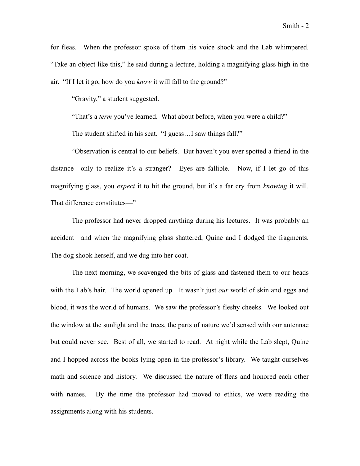Smith - 2

for fleas. When the professor spoke of them his voice shook and the Lab whimpered. "Take an object like this," he said during a lecture, holding a magnifying glass high in the air. "If I let it go, how do you *know* it will fall to the ground?"

"Gravity," a student suggested.

"That's a *term* you've learned. What about before, when you were a child?"

The student shifted in his seat. "I guess…I saw things fall?"

"Observation is central to our beliefs. But haven't you ever spotted a friend in the distance—only to realize it's a stranger? Eyes are fallible. Now, if I let go of this magnifying glass, you *expect* it to hit the ground, but it's a far cry from *knowing* it will. That difference constitutes—"

The professor had never dropped anything during his lectures. It was probably an accident—and when the magnifying glass shattered, Quine and I dodged the fragments. The dog shook herself, and we dug into her coat.

The next morning, we scavenged the bits of glass and fastened them to our heads with the Lab's hair. The world opened up. It wasn't just *our* world of skin and eggs and blood, it was the world of humans. We saw the professor's fleshy cheeks. We looked out the window at the sunlight and the trees, the parts of nature we'd sensed with our antennae but could never see. Best of all, we started to read. At night while the Lab slept, Quine and I hopped across the books lying open in the professor's library. We taught ourselves math and science and history. We discussed the nature of fleas and honored each other with names. By the time the professor had moved to ethics, we were reading the assignments along with his students.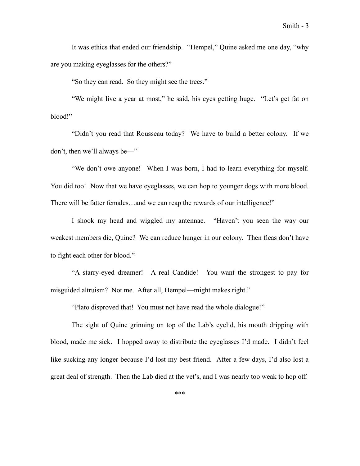It was ethics that ended our friendship. "Hempel," Quine asked me one day, "why are you making eyeglasses for the others?"

"So they can read. So they might see the trees."

"We might live a year at most," he said, his eyes getting huge. "Let's get fat on blood!"

"Didn't you read that Rousseau today? We have to build a better colony. If we don't, then we'll always be—"

"We don't owe anyone! When I was born, I had to learn everything for myself. You did too! Now that we have eyeglasses, we can hop to younger dogs with more blood. There will be fatter females…and we can reap the rewards of our intelligence!"

I shook my head and wiggled my antennae. "Haven't you seen the way our weakest members die, Quine? We can reduce hunger in our colony. Then fleas don't have to fight each other for blood."

"A starry-eyed dreamer! A real Candide! You want the strongest to pay for misguided altruism? Not me. After all, Hempel—might makes right."

"Plato disproved that! You must not have read the whole dialogue!"

The sight of Quine grinning on top of the Lab's eyelid, his mouth dripping with blood, made me sick. I hopped away to distribute the eyeglasses I'd made. I didn't feel like sucking any longer because I'd lost my best friend. After a few days, I'd also lost a great deal of strength. Then the Lab died at the vet's, and I was nearly too weak to hop off.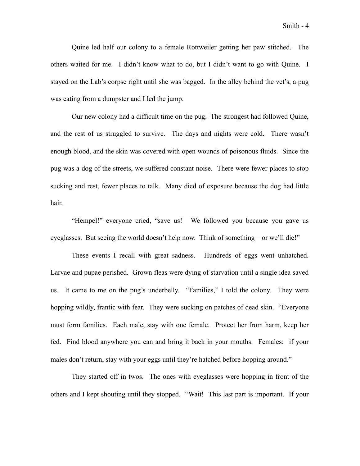Smith - 4

Quine led half our colony to a female Rottweiler getting her paw stitched. The others waited for me. I didn't know what to do, but I didn't want to go with Quine. I stayed on the Lab's corpse right until she was bagged. In the alley behind the vet's, a pug was eating from a dumpster and I led the jump.

Our new colony had a difficult time on the pug. The strongest had followed Quine, and the rest of us struggled to survive. The days and nights were cold. There wasn't enough blood, and the skin was covered with open wounds of poisonous fluids. Since the pug was a dog of the streets, we suffered constant noise. There were fewer places to stop sucking and rest, fewer places to talk. Many died of exposure because the dog had little hair.

"Hempel!" everyone cried, "save us! We followed you because you gave us eyeglasses. But seeing the world doesn't help now. Think of something—or we'll die!"

These events I recall with great sadness. Hundreds of eggs went unhatched. Larvae and pupae perished. Grown fleas were dying of starvation until a single idea saved us. It came to me on the pug's underbelly. "Families," I told the colony. They were hopping wildly, frantic with fear. They were sucking on patches of dead skin. "Everyone must form families. Each male, stay with one female. Protect her from harm, keep her fed. Find blood anywhere you can and bring it back in your mouths. Females: if your males don't return, stay with your eggs until they're hatched before hopping around."

They started off in twos. The ones with eyeglasses were hopping in front of the others and I kept shouting until they stopped. "Wait! This last part is important. If your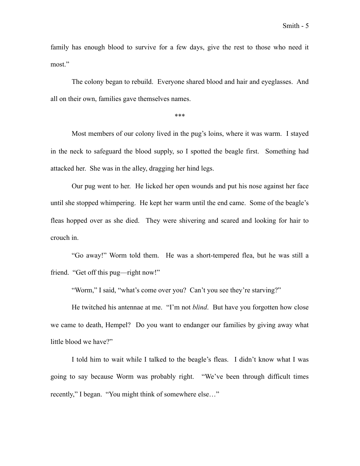family has enough blood to survive for a few days, give the rest to those who need it most."

The colony began to rebuild. Everyone shared blood and hair and eyeglasses. And all on their own, families gave themselves names.

\*\*\*

Most members of our colony lived in the pug's loins, where it was warm. I stayed in the neck to safeguard the blood supply, so I spotted the beagle first. Something had attacked her. She was in the alley, dragging her hind legs.

Our pug went to her. He licked her open wounds and put his nose against her face until she stopped whimpering. He kept her warm until the end came. Some of the beagle's fleas hopped over as she died. They were shivering and scared and looking for hair to crouch in.

"Go away!" Worm told them. He was a short-tempered flea, but he was still a friend. "Get off this pug—right now!"

"Worm," I said, "what's come over you? Can't you see they're starving?"

He twitched his antennae at me. "I'm not *blind*. But have you forgotten how close we came to death, Hempel? Do you want to endanger our families by giving away what little blood we have?"

I told him to wait while I talked to the beagle's fleas. I didn't know what I was going to say because Worm was probably right. "We've been through difficult times recently," I began. "You might think of somewhere else…"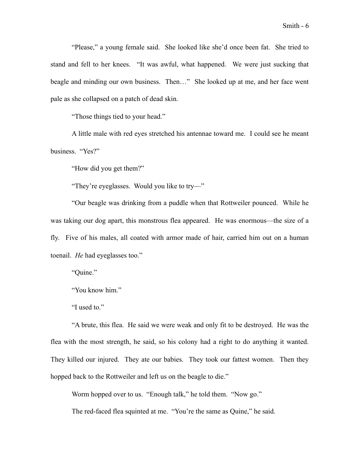"Please," a young female said. She looked like she'd once been fat. She tried to stand and fell to her knees. "It was awful, what happened. We were just sucking that beagle and minding our own business. Then…" She looked up at me, and her face went pale as she collapsed on a patch of dead skin.

"Those things tied to your head."

A little male with red eyes stretched his antennae toward me. I could see he meant business. "Yes?"

"How did you get them?"

"They're eyeglasses. Would you like to try—"

"Our beagle was drinking from a puddle when that Rottweiler pounced. While he was taking our dog apart, this monstrous flea appeared. He was enormous—the size of a fly. Five of his males, all coated with armor made of hair, carried him out on a human toenail. *He* had eyeglasses too."

"Quine."

"You know him."

"I used to."

"A brute, this flea. He said we were weak and only fit to be destroyed. He was the flea with the most strength, he said, so his colony had a right to do anything it wanted. They killed our injured. They ate our babies. They took our fattest women. Then they hopped back to the Rottweiler and left us on the beagle to die."

Worm hopped over to us. "Enough talk," he told them. "Now go."

The red-faced flea squinted at me. "You're the same as Quine," he said.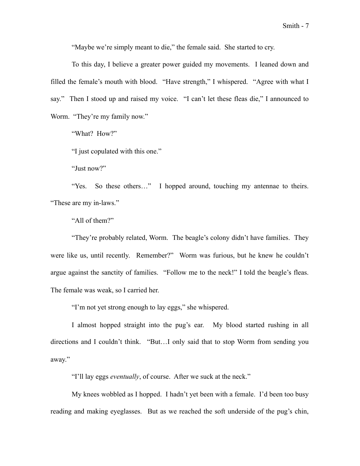"Maybe we're simply meant to die," the female said. She started to cry.

To this day, I believe a greater power guided my movements. I leaned down and filled the female's mouth with blood. "Have strength," I whispered. "Agree with what I say." Then I stood up and raised my voice. "I can't let these fleas die," I announced to Worm. "They're my family now."

"What? How?"

"I just copulated with this one."

"Just now?"

"Yes. So these others…" I hopped around, touching my antennae to theirs. "These are my in-laws."

"All of them?"

"They're probably related, Worm. The beagle's colony didn't have families. They were like us, until recently. Remember?" Worm was furious, but he knew he couldn't argue against the sanctity of families. "Follow me to the neck!" I told the beagle's fleas. The female was weak, so I carried her.

"I'm not yet strong enough to lay eggs," she whispered.

I almost hopped straight into the pug's ear. My blood started rushing in all directions and I couldn't think. "But…I only said that to stop Worm from sending you away."

"I'll lay eggs *eventually*, of course. After we suck at the neck."

My knees wobbled as I hopped. I hadn't yet been with a female. I'd been too busy reading and making eyeglasses. But as we reached the soft underside of the pug's chin,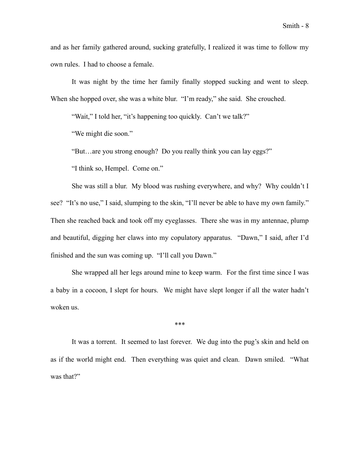It was night by the time her family finally stopped sucking and went to sleep. When she hopped over, she was a white blur. "I'm ready," she said. She crouched.

"Wait," I told her, "it's happening too quickly. Can't we talk?"

"We might die soon."

"But…are you strong enough? Do you really think you can lay eggs?"

"I think so, Hempel. Come on."

She was still a blur. My blood was rushing everywhere, and why? Why couldn't I see? "It's no use," I said, slumping to the skin, "I'll never be able to have my own family." Then she reached back and took off my eyeglasses. There she was in my antennae, plump and beautiful, digging her claws into my copulatory apparatus. "Dawn," I said, after I'd finished and the sun was coming up. "I'll call you Dawn."

She wrapped all her legs around mine to keep warm. For the first time since I was a baby in a cocoon, I slept for hours. We might have slept longer if all the water hadn't woken us.

\*\*\*

It was a torrent. It seemed to last forever. We dug into the pug's skin and held on as if the world might end. Then everything was quiet and clean. Dawn smiled. "What was that?"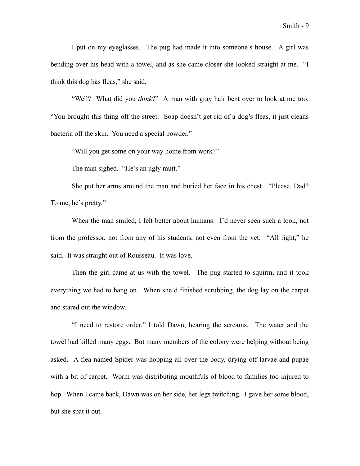I put on my eyeglasses. The pug had made it into someone's house. A girl was bending over his head with a towel, and as she came closer she looked straight at me. "I

think this dog has fleas," she said.

"Well? What did you *think*?" A man with gray hair bent over to look at me too. "You brought this thing off the street. Soap doesn't get rid of a dog's fleas, it just cleans bacteria off the skin. You need a special powder."

"Will you get some on your way home from work?"

The man sighed. "He's an ugly mutt."

She put her arms around the man and buried her face in his chest. "Please, Dad? To me, he's pretty."

When the man smiled, I felt better about humans. I'd never seen such a look, not from the professor, not from any of his students, not even from the vet. "All right," he said. It was straight out of Rousseau. It was love.

Then the girl came at us with the towel. The pug started to squirm, and it took everything we had to hang on. When she'd finished scrubbing, the dog lay on the carpet and stared out the window.

"I need to restore order," I told Dawn, hearing the screams. The water and the towel had killed many eggs. But many members of the colony were helping without being asked. A flea named Spider was hopping all over the body, drying off larvae and pupae with a bit of carpet. Worm was distributing mouthfuls of blood to families too injured to hop. When I came back, Dawn was on her side, her legs twitching. I gave her some blood, but she spat it out.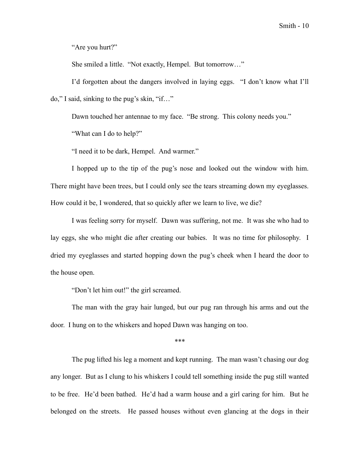"Are you hurt?"

She smiled a little. "Not exactly, Hempel. But tomorrow…"

I'd forgotten about the dangers involved in laying eggs. "I don't know what I'll do," I said, sinking to the pug's skin, "if…"

Dawn touched her antennae to my face. "Be strong. This colony needs you."

"What can I do to help?"

"I need it to be dark, Hempel. And warmer."

I hopped up to the tip of the pug's nose and looked out the window with him. There might have been trees, but I could only see the tears streaming down my eyeglasses. How could it be, I wondered, that so quickly after we learn to live, we die?

I was feeling sorry for myself. Dawn was suffering, not me. It was she who had to lay eggs, she who might die after creating our babies. It was no time for philosophy. I dried my eyeglasses and started hopping down the pug's cheek when I heard the door to the house open.

"Don't let him out!" the girl screamed.

The man with the gray hair lunged, but our pug ran through his arms and out the door. I hung on to the whiskers and hoped Dawn was hanging on too.

\*\*\*

The pug lifted his leg a moment and kept running. The man wasn't chasing our dog any longer. But as I clung to his whiskers I could tell something inside the pug still wanted to be free. He'd been bathed. He'd had a warm house and a girl caring for him. But he belonged on the streets. He passed houses without even glancing at the dogs in their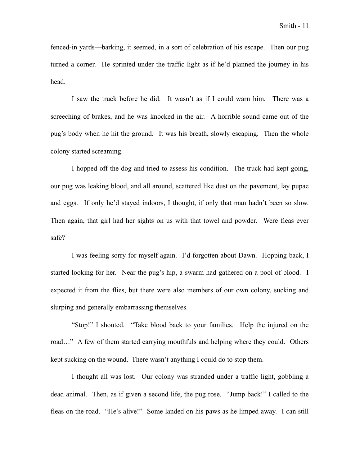fenced-in yards—barking, it seemed, in a sort of celebration of his escape. Then our pug turned a corner. He sprinted under the traffic light as if he'd planned the journey in his head.

I saw the truck before he did. It wasn't as if I could warn him. There was a screeching of brakes, and he was knocked in the air. A horrible sound came out of the pug's body when he hit the ground. It was his breath, slowly escaping. Then the whole colony started screaming.

I hopped off the dog and tried to assess his condition. The truck had kept going, our pug was leaking blood, and all around, scattered like dust on the pavement, lay pupae and eggs. If only he'd stayed indoors, I thought, if only that man hadn't been so slow. Then again, that girl had her sights on us with that towel and powder. Were fleas ever safe?

I was feeling sorry for myself again. I'd forgotten about Dawn. Hopping back, I started looking for her. Near the pug's hip, a swarm had gathered on a pool of blood. I expected it from the flies, but there were also members of our own colony, sucking and slurping and generally embarrassing themselves.

"Stop!" I shouted. "Take blood back to your families. Help the injured on the road..." A few of them started carrying mouthfuls and helping where they could. Others kept sucking on the wound. There wasn't anything I could do to stop them.

I thought all was lost. Our colony was stranded under a traffic light, gobbling a dead animal. Then, as if given a second life, the pug rose. "Jump back!" I called to the fleas on the road. "He's alive!" Some landed on his paws as he limped away. I can still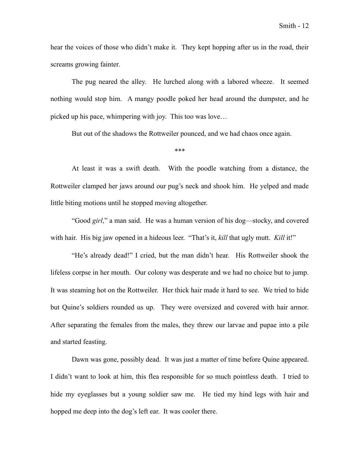hear the voices of those who didn't make it. They kept hopping after us in the road, their screams growing fainter.

The pug neared the alley. He lurched along with a labored wheeze. It seemed nothing would stop him. A mangy poodle poked her head around the dumpster, and he picked up his pace, whimpering with joy. This too was love…

But out of the shadows the Rottweiler pounced, and we had chaos once again.

## \*\*\*

At least it was a swift death. With the poodle watching from a distance, the Rottweiler clamped her jaws around our pug's neck and shook him. He yelped and made little biting motions until he stopped moving altogether.

"Good *girl*," a man said. He was a human version of his dog—stocky, and covered with hair. His big jaw opened in a hideous leer. "That's it, *kill* that ugly mutt. *Kill* it!"

"He's already dead!" I cried, but the man didn't hear. His Rottweiler shook the lifeless corpse in her mouth. Our colony was desperate and we had no choice but to jump. It was steaming hot on the Rottweiler. Her thick hair made it hard to see. We tried to hide but Quine's soldiers rounded us up. They were oversized and covered with hair armor. After separating the females from the males, they threw our larvae and pupae into a pile and started feasting.

Dawn was gone, possibly dead. It was just a matter of time before Quine appeared. I didn't want to look at him, this flea responsible for so much pointless death. I tried to hide my eyeglasses but a young soldier saw me. He tied my hind legs with hair and hopped me deep into the dog's left ear. It was cooler there.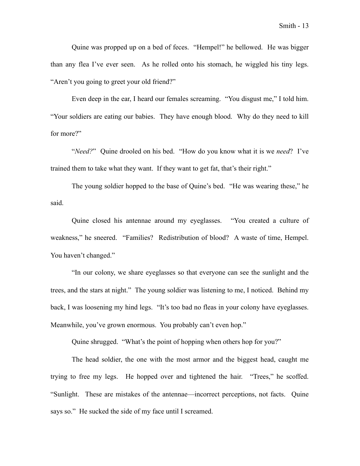Quine was propped up on a bed of feces. "Hempel!" he bellowed. He was bigger than any flea I've ever seen. As he rolled onto his stomach, he wiggled his tiny legs. "Aren't you going to greet your old friend?"

Even deep in the ear, I heard our females screaming. "You disgust me," I told him. "Your soldiers are eating our babies. They have enough blood. Why do they need to kill for more?"

"*Need?*" Quine drooled on his bed. "How do you know what it is we *need*? I've trained them to take what they want. If they want to get fat, that's their right."

The young soldier hopped to the base of Quine's bed. "He was wearing these," he said.

Quine closed his antennae around my eyeglasses. "You created a culture of weakness," he sneered. "Families? Redistribution of blood? A waste of time, Hempel. You haven't changed."

"In our colony, we share eyeglasses so that everyone can see the sunlight and the trees, and the stars at night." The young soldier was listening to me, I noticed. Behind my back, I was loosening my hind legs. "It's too bad no fleas in your colony have eyeglasses. Meanwhile, you've grown enormous. You probably can't even hop."

Quine shrugged. "What's the point of hopping when others hop for you?"

The head soldier, the one with the most armor and the biggest head, caught me trying to free my legs. He hopped over and tightened the hair. "Trees," he scoffed. "Sunlight. These are mistakes of the antennae—incorrect perceptions, not facts. Quine says so." He sucked the side of my face until I screamed.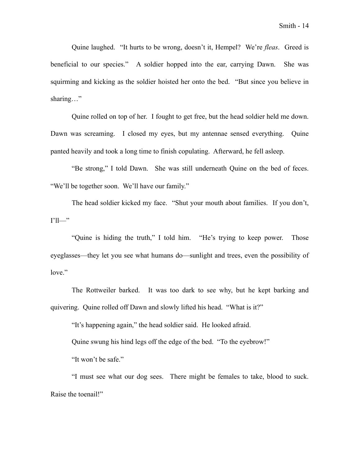Quine laughed. "It hurts to be wrong, doesn't it, Hempel? We're *fleas*. Greed is beneficial to our species." A soldier hopped into the ear, carrying Dawn. She was squirming and kicking as the soldier hoisted her onto the bed. "But since you believe in sharing…"

Quine rolled on top of her. I fought to get free, but the head soldier held me down. Dawn was screaming. I closed my eyes, but my antennae sensed everything. Quine panted heavily and took a long time to finish copulating. Afterward, he fell asleep.

"Be strong," I told Dawn. She was still underneath Quine on the bed of feces. "We'll be together soon. We'll have our family."

The head soldier kicked my face. "Shut your mouth about families. If you don't,  $I'$ ll—"

"Quine is hiding the truth," I told him. "He's trying to keep power. Those eyeglasses—they let you see what humans do—sunlight and trees, even the possibility of love."

The Rottweiler barked. It was too dark to see why, but he kept barking and quivering. Quine rolled off Dawn and slowly lifted his head. "What is it?"

"It's happening again," the head soldier said. He looked afraid.

Quine swung his hind legs off the edge of the bed. "To the eyebrow!"

"It won't be safe."

"I must see what our dog sees. There might be females to take, blood to suck. Raise the toenail!"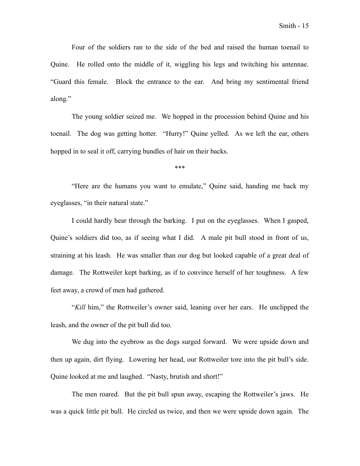Four of the soldiers ran to the side of the bed and raised the human toenail to Quine. He rolled onto the middle of it, wiggling his legs and twitching his antennae. "Guard this female. Block the entrance to the ear. And bring my sentimental friend along."

The young soldier seized me. We hopped in the procession behind Quine and his toenail. The dog was getting hotter. "Hurry!" Quine yelled. As we left the ear, others hopped in to seal it off, carrying bundles of hair on their backs.

\*\*\*

 "Here are the humans you want to emulate," Quine said, handing me back my eyeglasses, "in their natural state."

 I could hardly hear through the barking. I put on the eyeglasses. When I gasped, Quine's soldiers did too, as if seeing what I did. A male pit bull stood in front of us, straining at his leash. He was smaller than our dog but looked capable of a great deal of damage. The Rottweiler kept barking, as if to convince herself of her toughness. A few feet away, a crowd of men had gathered.

"*Kill* him," the Rottweiler's owner said, leaning over her ears. He unclipped the leash, and the owner of the pit bull did too.

We dug into the eyebrow as the dogs surged forward. We were upside down and then up again, dirt flying. Lowering her head, our Rottweiler tore into the pit bull's side. Quine looked at me and laughed. "Nasty, brutish and short!"

The men roared. But the pit bull spun away, escaping the Rottweiler's jaws. He was a quick little pit bull. He circled us twice, and then we were upside down again. The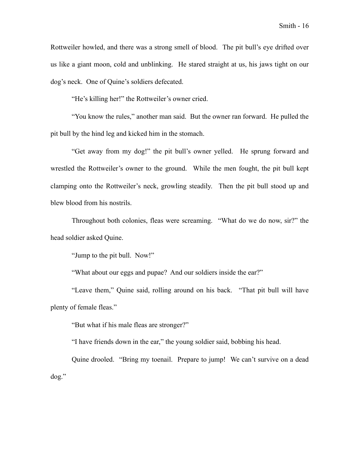Rottweiler howled, and there was a strong smell of blood. The pit bull's eye drifted over us like a giant moon, cold and unblinking. He stared straight at us, his jaws tight on our dog's neck. One of Quine's soldiers defecated.

"He's killing her!" the Rottweiler's owner cried.

"You know the rules," another man said. But the owner ran forward. He pulled the pit bull by the hind leg and kicked him in the stomach.

"Get away from my dog!" the pit bull's owner yelled. He sprung forward and wrestled the Rottweiler's owner to the ground. While the men fought, the pit bull kept clamping onto the Rottweiler's neck, growling steadily. Then the pit bull stood up and blew blood from his nostrils.

Throughout both colonies, fleas were screaming. "What do we do now, sir?" the head soldier asked Quine.

"Jump to the pit bull. Now!"

"What about our eggs and pupae? And our soldiers inside the ear?"

"Leave them," Quine said, rolling around on his back. "That pit bull will have plenty of female fleas."

"But what if his male fleas are stronger?"

"I have friends down in the ear," the young soldier said, bobbing his head.

Quine drooled. "Bring my toenail. Prepare to jump! We can't survive on a dead dog."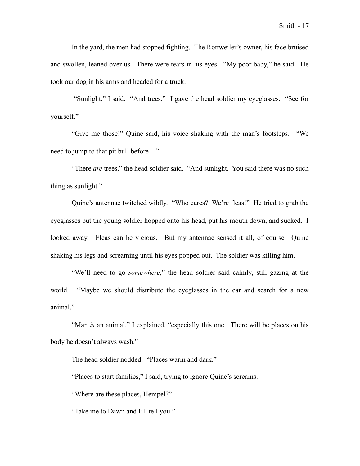In the yard, the men had stopped fighting. The Rottweiler's owner, his face bruised and swollen, leaned over us. There were tears in his eyes. "My poor baby," he said. He took our dog in his arms and headed for a truck.

 "Sunlight," I said. "And trees." I gave the head soldier my eyeglasses. "See for yourself."

"Give me those!" Quine said, his voice shaking with the man's footsteps. "We need to jump to that pit bull before—"

"There *are* trees," the head soldier said. "And sunlight. You said there was no such thing as sunlight."

Quine's antennae twitched wildly. "Who cares? We're fleas!" He tried to grab the eyeglasses but the young soldier hopped onto his head, put his mouth down, and sucked. I looked away. Fleas can be vicious. But my antennae sensed it all, of course—Quine shaking his legs and screaming until his eyes popped out. The soldier was killing him.

"We'll need to go *somewhere*," the head soldier said calmly, still gazing at the world. "Maybe we should distribute the eyeglasses in the ear and search for a new animal."

"Man *is* an animal," I explained, "especially this one. There will be places on his body he doesn't always wash."

The head soldier nodded. "Places warm and dark."

"Places to start families," I said, trying to ignore Quine's screams.

"Where are these places, Hempel?"

"Take me to Dawn and I'll tell you."